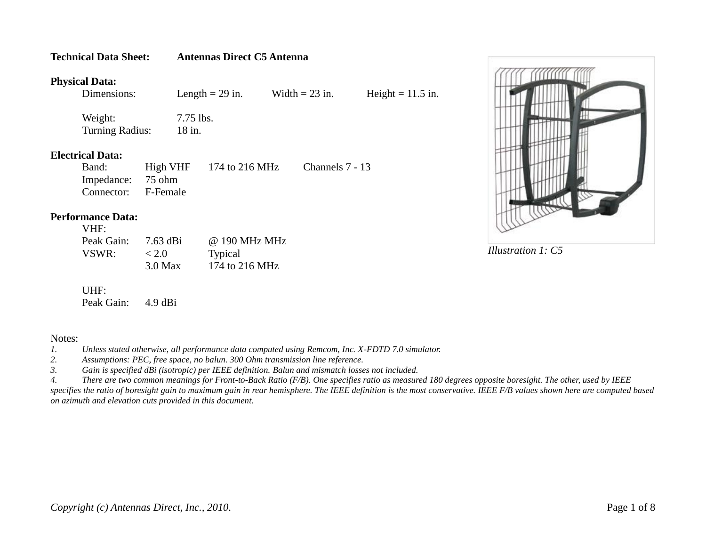## **Physical Data:**

**Technical Data Sheet: Antennas Direct C5 Antenna**

Length = 29 in. Width = 23 in. Height = 11.5 in.

Weight:  $7.75$  lbs. Turning Radius: 18 in.

**Electrical Data:**

| Band:               | $High VHF$ 174 to 216 MHz | Channels 7 - 13 |
|---------------------|---------------------------|-----------------|
| Impedance: 75 ohm   |                           |                 |
| Connector: F-Female |                           |                 |

## **Performance Data:**  $\sim$   $\sim$   $\sim$

| VHF:       |            |                |
|------------|------------|----------------|
| Peak Gain: | $7.63$ dBi | @ 190 MHz MHz  |
| VSWR:      | < 2.0      | <b>Typical</b> |
|            | $3.0$ Max  | 174 to 216 MHz |

UHF: Peak Gain: 4.9 dBi

## Notes:

*1. Unless stated otherwise, all performance data computed using Remcom, Inc. X-FDTD 7.0 simulator.*

*2. Assumptions: PEC, free space, no balun. 300 Ohm transmission line reference.*

*3. Gain is specified dBi (isotropic) per IEEE definition. Balun and mismatch losses not included.*

*4. There are two common meanings for Front-to-Back Ratio (F/B). One specifies ratio as measured 180 degrees opposite boresight. The other, used by IEEE specifies the ratio of boresight gain to maximum gain in rear hemisphere. The IEEE definition is the most conservative. IEEE F/B values shown here are computed based on azimuth and elevation cuts provided in this document.*

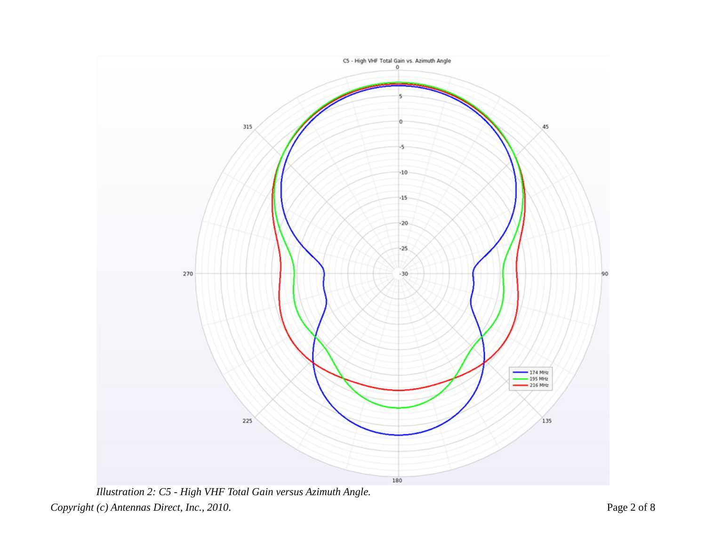

*Copyright (c) Antennas Direct, Inc., 2010. Illustration 2: C5 - High VHF Total Gain versus Azimuth Angle.*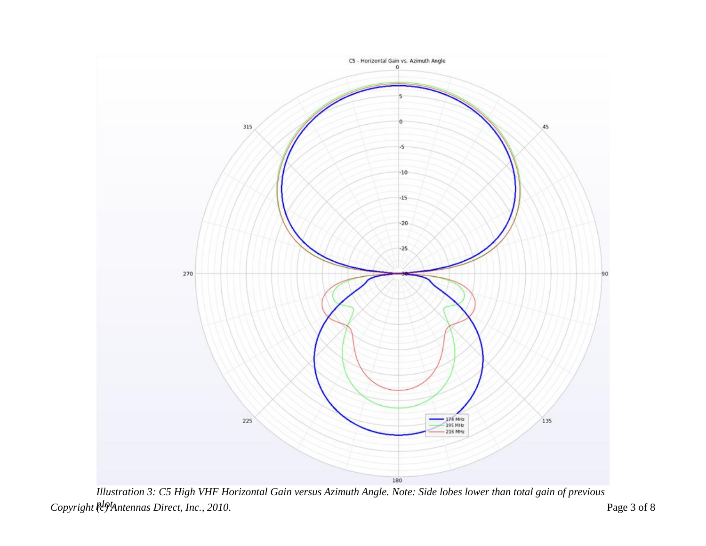

 $Copyright$   $l^{\theta}$  Antennas Direct, Inc., 2010. Page 3 of 8 *Illustration 3: C5 High VHF Horizontal Gain versus Azimuth Angle. Note: Side lobes lower than total gain of previous*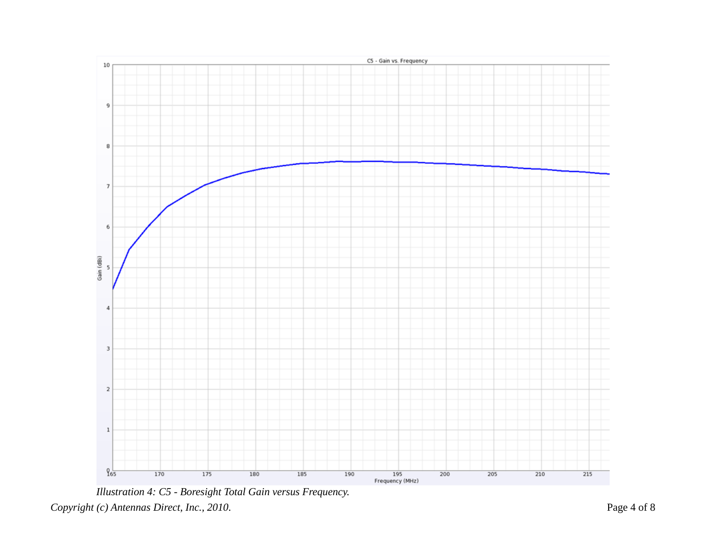

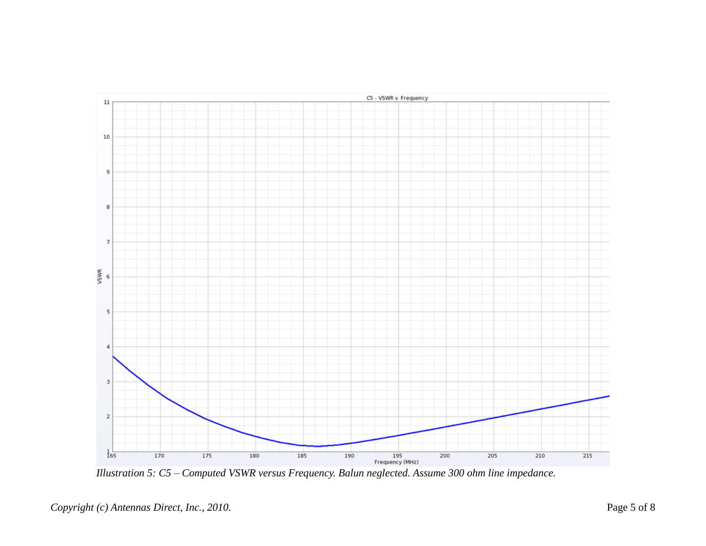

*Illustration 5: C5 – Computed VSWR versus Frequency. Balun neglected. Assume 300 ohm line impedance.*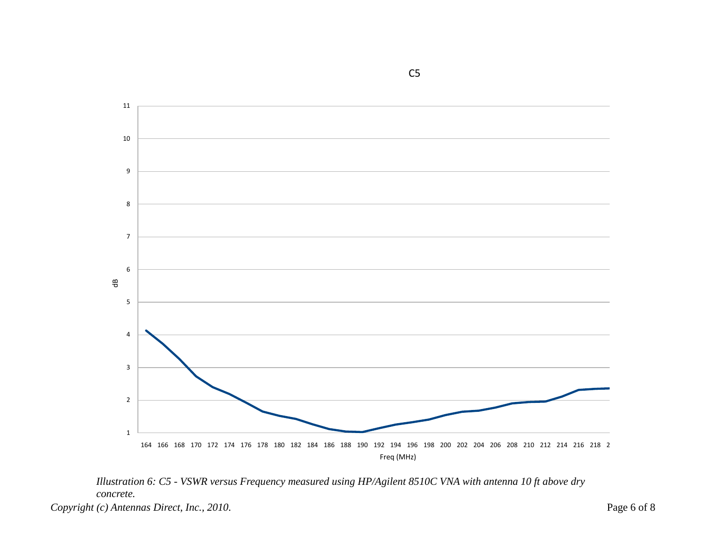



*Copyright (c) Antennas Direct, Inc., 2010.* Page 6 of 8

C5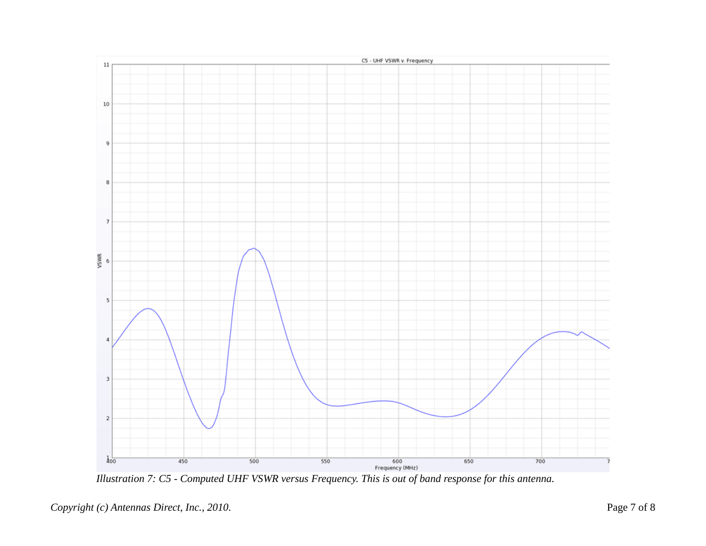

*Illustration 7: C5 - Computed UHF VSWR versus Frequency. This is out of band response for this antenna.*